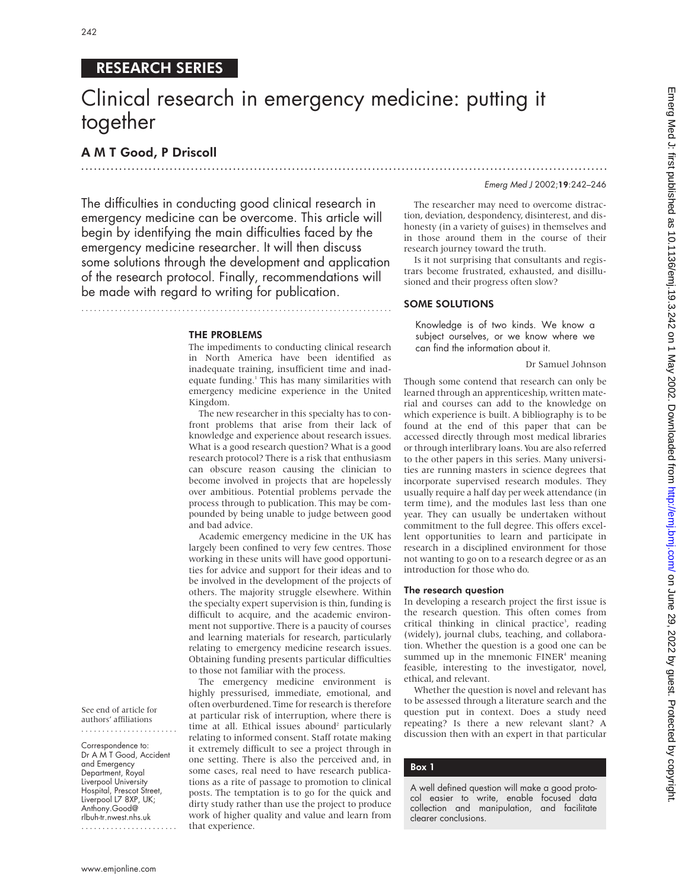# RESEARCH SERIES

# Clinical research in emergency medicine: putting it together

# A M T Good, P Driscoll

The difficulties in conducting good clinical research in emergency medicine can be overcome. This article will begin by identifying the main difficulties faced by the emergency medicine researcher. It will then discuss some solutions through the development and application of the research protocol. Finally, recommendations will be made with regard to writing for publication.

..........................................................................

THE PROBLEMS

The impediments to conducting clinical research in North America have been identified as inadequate training, insufficient time and inadequate funding.<sup>1</sup> This has many similarities with emergency medicine experience in the United Kingdom.

The new researcher in this specialty has to confront problems that arise from their lack of knowledge and experience about research issues. What is a good research question? What is a good research protocol? There is a risk that enthusiasm can obscure reason causing the clinician to become involved in projects that are hopelessly over ambitious. Potential problems pervade the process through to publication. This may be compounded by being unable to judge between good and bad advice.

Academic emergency medicine in the UK has largely been confined to very few centres. Those working in these units will have good opportunities for advice and support for their ideas and to be involved in the development of the projects of others. The majority struggle elsewhere. Within the specialty expert supervision is thin, funding is difficult to acquire, and the academic environment not supportive. There is a paucity of courses and learning materials for research, particularly relating to emergency medicine research issues. Obtaining funding presents particular difficulties to those not familiar with the process.

The emergency medicine environment is highly pressurised, immediate, emotional, and often overburdened. Time for research is therefore at particular risk of interruption, where there is time at all. Ethical issues abound<sup>2</sup> particularly relating to informed consent. Staff rotate making it extremely difficult to see a project through in one setting. There is also the perceived and, in some cases, real need to have research publications as a rite of passage to promotion to clinical posts. The temptation is to go for the quick and dirty study rather than use the project to produce work of higher quality and value and learn from that experience.

#### Emerg Med J 2002;19:242–246

The researcher may need to overcome distraction, deviation, despondency, disinterest, and dishonesty (in a variety of guises) in themselves and in those around them in the course of their research journey toward the truth.

Is it not surprising that consultants and registrars become frustrated, exhausted, and disillusioned and their progress often slow?

#### SOME SOLUTIONS

.............................................................................................................................

Knowledge is of two kinds. We know a subject ourselves, or we know where we can find the information about it.

#### Dr Samuel Johnson

Though some contend that research can only be learned through an apprenticeship, written material and courses can add to the knowledge on which experience is built. A bibliography is to be found at the end of this paper that can be accessed directly through most medical libraries or through interlibrary loans. You are also referred to the other papers in this series. Many universities are running masters in science degrees that incorporate supervised research modules. They usually require a half day per week attendance (in term time), and the modules last less than one year. They can usually be undertaken without commitment to the full degree. This offers excellent opportunities to learn and participate in research in a disciplined environment for those not wanting to go on to a research degree or as an introduction for those who do.

#### The research question

In developing a research project the first issue is the research question. This often comes from critical thinking in clinical practice<sup>3</sup>, reading (widely), journal clubs, teaching, and collaboration. Whether the question is a good one can be summed up in the mnemonic  $FINER<sup>4</sup>$  meaning feasible, interesting to the investigator, novel, ethical, and relevant.

Whether the question is novel and relevant has to be assessed through a literature search and the question put in context. Does a study need repeating? Is there a new relevant slant? A discussion then with an expert in that particular

# Box 1

A well defined question will make a good protocol easier to write, enable focused data collection and manipulation, and facilitate clearer conclusions.

See end of article for authors' affiliations .......................

Correspondence to: Dr A M T Good, Accident and Emergency Department, Royal Liverpool University Hospital, Prescot Street, Liverpool L7 8XP, UK; Anthony.Good@ rlbuh-tr.nwest.nhs.uk

.......................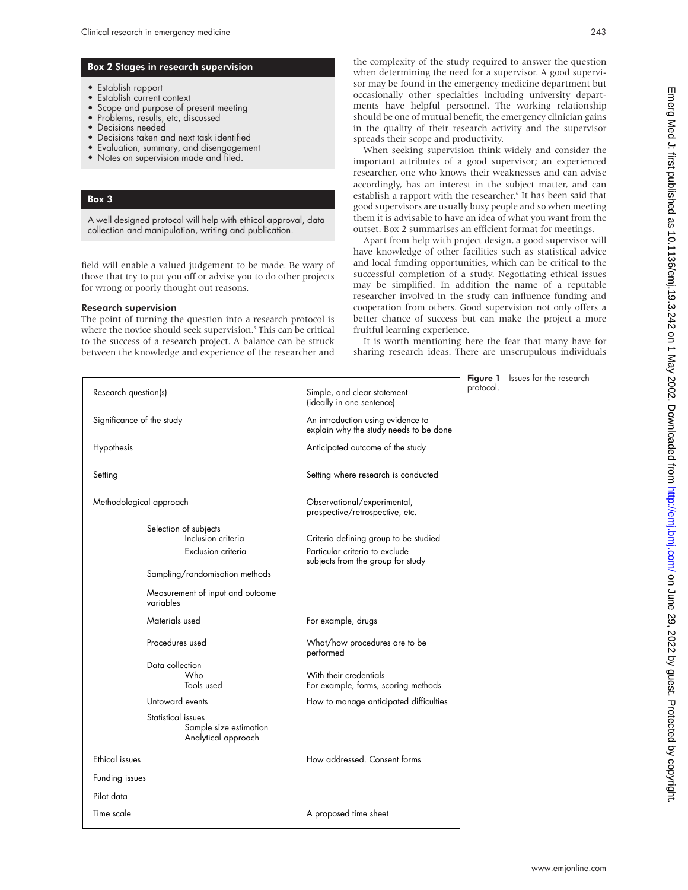- Establish rapport
- Establish current context
- Scope and purpose of present meeting
- Problems, results, etc, discussed
- Decisions needed
- Decisions taken and next task identified
- Evaluation, summary, and disengagement
- Notes on supervision made and filed.

# Box 3

A well designed protocol will help with ethical approval, data collection and manipulation, writing and publication.

field will enable a valued judgement to be made. Be wary of those that try to put you off or advise you to do other projects for wrong or poorly thought out reasons.

### Research supervision

The point of turning the question into a research protocol is where the novice should seek supervision.<sup>5</sup> This can be critical to the success of a research project. A balance can be struck between the knowledge and experience of the researcher and the complexity of the study required to answer the question when determining the need for a supervisor. A good supervisor may be found in the emergency medicine department but occasionally other specialties including university departments have helpful personnel. The working relationship should be one of mutual benefit, the emergency clinician gains in the quality of their research activity and the supervisor spreads their scope and productivity.

When seeking supervision think widely and consider the important attributes of a good supervisor; an experienced researcher, one who knows their weaknesses and can advise accordingly, has an interest in the subject matter, and can establish a rapport with the researcher.<sup>6</sup> It has been said that good supervisors are usually busy people and so when meeting them it is advisable to have an idea of what you want from the outset. Box 2 summarises an efficient format for meetings.

Apart from help with project design, a good supervisor will have knowledge of other facilities such as statistical advice and local funding opportunities, which can be critical to the successful completion of a study. Negotiating ethical issues may be simplified. In addition the name of a reputable researcher involved in the study can influence funding and cooperation from others. Good supervision not only offers a better chance of success but can make the project a more fruitful learning experience.

It is worth mentioning here the fear that many have for sharing research ideas. There are unscrupulous individuals

|                           |                                                                     |                                                                             | Figure 1<br>protocol. | Issues for the research |
|---------------------------|---------------------------------------------------------------------|-----------------------------------------------------------------------------|-----------------------|-------------------------|
| Research question(s)      |                                                                     | Simple, and clear statement<br>(ideally in one sentence)                    |                       |                         |
| Significance of the study |                                                                     | An introduction using evidence to<br>explain why the study needs to be done |                       |                         |
| Hypothesis                |                                                                     | Anticipated outcome of the study                                            |                       |                         |
| Setting                   |                                                                     | Setting where research is conducted                                         |                       |                         |
| Methodological approach   |                                                                     | Observational/experimental,<br>prospective/retrospective, etc.              |                       |                         |
|                           | Selection of subjects                                               |                                                                             |                       |                         |
|                           | Inclusion criteria                                                  | Criteria defining group to be studied                                       |                       |                         |
|                           | Exclusion criteria                                                  | Particular criteria to exclude<br>subjects from the group for study         |                       |                         |
|                           | Sampling/randomisation methods                                      |                                                                             |                       |                         |
|                           | Measurement of input and outcome<br>variables                       |                                                                             |                       |                         |
|                           | Materials used                                                      | For example, drugs                                                          |                       |                         |
|                           | Procedures used                                                     | What/how procedures are to be<br>performed                                  |                       |                         |
|                           | Data collection                                                     |                                                                             |                       |                         |
|                           | Who<br>Tools used                                                   | With their credentials<br>For example, forms, scoring methods               |                       |                         |
|                           | Untoward events                                                     | How to manage anticipated difficulties                                      |                       |                         |
|                           | Statistical issues<br>Sample size estimation<br>Analytical approach |                                                                             |                       |                         |
| Ethical issues            |                                                                     | How addressed. Consent forms                                                |                       |                         |
| Funding issues            |                                                                     |                                                                             |                       |                         |
| Pilot data                |                                                                     |                                                                             |                       |                         |
| Time scale                |                                                                     | A proposed time sheet                                                       |                       |                         |
|                           |                                                                     |                                                                             |                       |                         |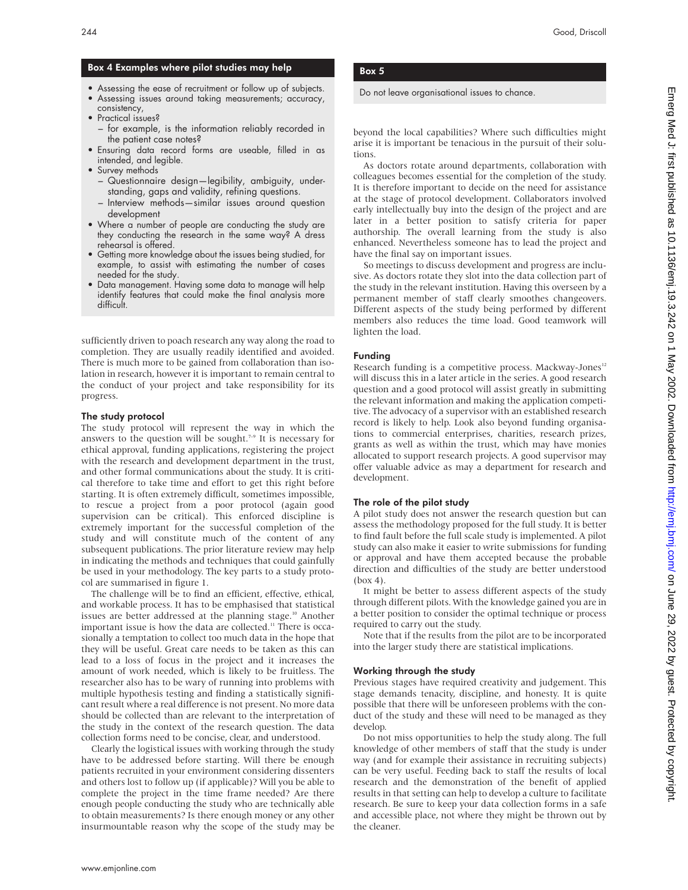### Box 4 Examples where pilot studies may help

- Assessing the ease of recruitment or follow up of subjects.
- Assessing issues around taking measurements; accuracy, consistency,
- Practical issues?
	- for example, is the information reliably recorded in the patient case notes?
- Ensuring data record forms are useable, filled in as intended, and legible.
- Survey methods
	- Questionnaire design—legibility, ambiguity, understanding, gaps and validity, refining questions.
	- Interview methods—similar issues around question development
- Where a number of people are conducting the study are they conducting the research in the same way? A dress rehearsal is offered.
- Getting more knowledge about the issues being studied, for example, to assist with estimating the number of cases needed for the study.
- Data management. Having some data to manage will help identify features that could make the final analysis more difficult.

sufficiently driven to poach research any way along the road to completion. They are usually readily identified and avoided. There is much more to be gained from collaboration than isolation in research, however it is important to remain central to the conduct of your project and take responsibility for its progress.

#### The study protocol

The study protocol will represent the way in which the answers to the question will be sought.<sup> $7-9$ </sup> It is necessary for ethical approval, funding applications, registering the project with the research and development department in the trust, and other formal communications about the study. It is critical therefore to take time and effort to get this right before starting. It is often extremely difficult, sometimes impossible, to rescue a project from a poor protocol (again good supervision can be critical). This enforced discipline is extremely important for the successful completion of the study and will constitute much of the content of any subsequent publications. The prior literature review may help in indicating the methods and techniques that could gainfully be used in your methodology. The key parts to a study protocol are summarised in figure 1.

The challenge will be to find an efficient, effective, ethical, and workable process. It has to be emphasised that statistical issues are better addressed at the planning stage.<sup>10</sup> Another important issue is how the data are collected.<sup>11</sup> There is occasionally a temptation to collect too much data in the hope that they will be useful. Great care needs to be taken as this can lead to a loss of focus in the project and it increases the amount of work needed, which is likely to be fruitless. The researcher also has to be wary of running into problems with multiple hypothesis testing and finding a statistically significant result where a real difference is not present. No more data should be collected than are relevant to the interpretation of the study in the context of the research question. The data collection forms need to be concise, clear, and understood.

Clearly the logistical issues with working through the study have to be addressed before starting. Will there be enough patients recruited in your environment considering dissenters and others lost to follow up (if applicable)? Will you be able to complete the project in the time frame needed? Are there enough people conducting the study who are technically able to obtain measurements? Is there enough money or any other insurmountable reason why the scope of the study may be

# Box 5

Do not leave organisational issues to chance.

beyond the local capabilities? Where such difficulties might arise it is important be tenacious in the pursuit of their solutions.

As doctors rotate around departments, collaboration with colleagues becomes essential for the completion of the study. It is therefore important to decide on the need for assistance at the stage of protocol development. Collaborators involved early intellectually buy into the design of the project and are later in a better position to satisfy criteria for paper authorship. The overall learning from the study is also enhanced. Nevertheless someone has to lead the project and have the final say on important issues.

So meetings to discuss development and progress are inclusive. As doctors rotate they slot into the data collection part of the study in the relevant institution. Having this overseen by a permanent member of staff clearly smoothes changeovers. Different aspects of the study being performed by different members also reduces the time load. Good teamwork will lighten the load.

# Funding

Research funding is a competitive process. Mackway-Jones<sup>12</sup> will discuss this in a later article in the series. A good research question and a good protocol will assist greatly in submitting the relevant information and making the application competitive. The advocacy of a supervisor with an established research record is likely to help. Look also beyond funding organisations to commercial enterprises, charities, research prizes, grants as well as within the trust, which may have monies allocated to support research projects. A good supervisor may offer valuable advice as may a department for research and development.

# The role of the pilot study

A pilot study does not answer the research question but can assess the methodology proposed for the full study. It is better to find fault before the full scale study is implemented. A pilot study can also make it easier to write submissions for funding or approval and have them accepted because the probable direction and difficulties of the study are better understood  $(box 4)$ .

It might be better to assess different aspects of the study through different pilots. With the knowledge gained you are in a better position to consider the optimal technique or process required to carry out the study.

Note that if the results from the pilot are to be incorporated into the larger study there are statistical implications.

#### Working through the study

Previous stages have required creativity and judgement. This stage demands tenacity, discipline, and honesty. It is quite possible that there will be unforeseen problems with the conduct of the study and these will need to be managed as they develop.

Do not miss opportunities to help the study along. The full knowledge of other members of staff that the study is under way (and for example their assistance in recruiting subjects) can be very useful. Feeding back to staff the results of local research and the demonstration of the benefit of applied results in that setting can help to develop a culture to facilitate research. Be sure to keep your data collection forms in a safe and accessible place, not where they might be thrown out by the cleaner.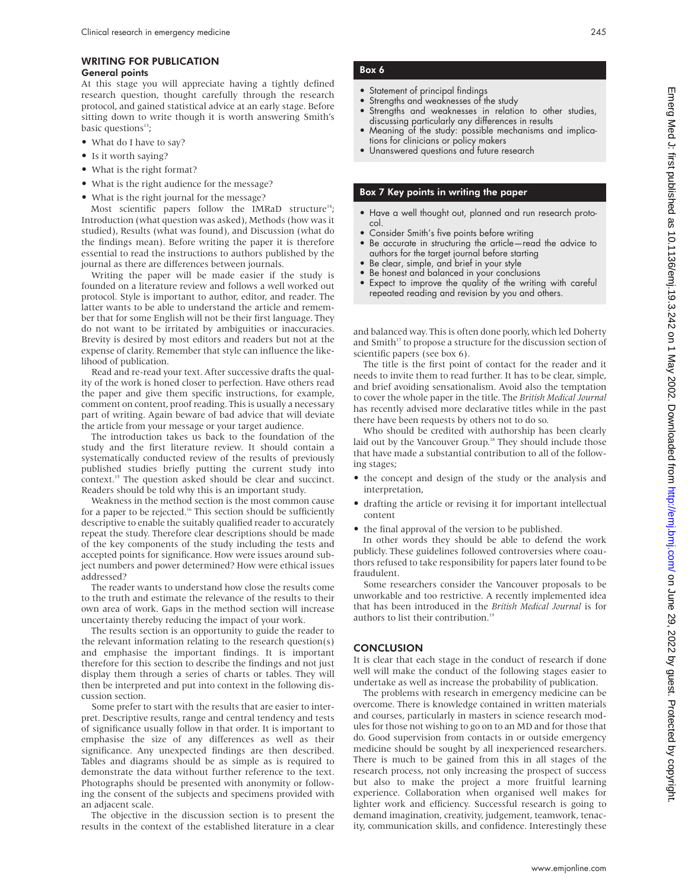### WRITING FOR PUBLICATION General points

At this stage you will appreciate having a tightly defined research question, thought carefully through the research protocol, and gained statistical advice at an early stage. Before sitting down to write though it is worth answering Smith's basic questions<sup>13</sup>;

- What do I have to say?
- Is it worth saying?
- What is the right format?
- What is the right audience for the message?
- What is the right journal for the message?

Most scientific papers follow the IMRaD structure<sup>14</sup>; Introduction (what question was asked), Methods (how was it studied), Results (what was found), and Discussion (what do the findings mean). Before writing the paper it is therefore essential to read the instructions to authors published by the journal as there are differences between journals.

Writing the paper will be made easier if the study is founded on a literature review and follows a well worked out protocol. Style is important to author, editor, and reader. The latter wants to be able to understand the article and remember that for some English will not be their first language. They do not want to be irritated by ambiguities or inaccuracies. Brevity is desired by most editors and readers but not at the expense of clarity. Remember that style can influence the likelihood of publication.

Read and re-read your text. After successive drafts the quality of the work is honed closer to perfection. Have others read the paper and give them specific instructions, for example, comment on content, proof reading. This is usually a necessary part of writing. Again beware of bad advice that will deviate the article from your message or your target audience.

The introduction takes us back to the foundation of the study and the first literature review. It should contain a systematically conducted review of the results of previously published studies briefly putting the current study into context.<sup>15</sup> The question asked should be clear and succinct. Readers should be told why this is an important study.

Weakness in the method section is the most common cause for a paper to be rejected.<sup>16</sup> This section should be sufficiently descriptive to enable the suitably qualified reader to accurately repeat the study. Therefore clear descriptions should be made of the key components of the study including the tests and accepted points for significance. How were issues around subject numbers and power determined? How were ethical issues addressed?

The reader wants to understand how close the results come to the truth and estimate the relevance of the results to their own area of work. Gaps in the method section will increase uncertainty thereby reducing the impact of your work.

The results section is an opportunity to guide the reader to the relevant information relating to the research question(s) and emphasise the important findings. It is important therefore for this section to describe the findings and not just display them through a series of charts or tables. They will then be interpreted and put into context in the following discussion section.

Some prefer to start with the results that are easier to interpret. Descriptive results, range and central tendency and tests of significance usually follow in that order. It is important to emphasise the size of any differences as well as their significance. Any unexpected findings are then described. Tables and diagrams should be as simple as is required to demonstrate the data without further reference to the text. Photographs should be presented with anonymity or following the consent of the subjects and specimens provided with an adjacent scale.

The objective in the discussion section is to present the results in the context of the established literature in a clear

#### Box 6

- Statement of principal findings
- Strengths and weaknesses of the study
- Strengths and weaknesses in relation to other studies, discussing particularly any differences in results
- Meaning of the study: possible mechanisms and implications for clinicians or policy makers
- Unanswered questions and future research

#### Box 7 Key points in writing the paper

- Have a well thought out, planned and run research protocol.
- Consider Smith's five points before writing
- Be accurate in structuring the article—read the advice to authors for the target journal before starting
- Be clear, simple, and brief in your style
- Be honest and balanced in your conclusions
- Expect to improve the quality of the writing with careful repeated reading and revision by you and others.

and balanced way. This is often done poorly, which led Doherty and Smith<sup>17</sup> to propose a structure for the discussion section of scientific papers (see box 6).

The title is the first point of contact for the reader and it needs to invite them to read further. It has to be clear, simple, and brief avoiding sensationalism. Avoid also the temptation to cover the whole paper in the title. The *British Medical Journal* has recently advised more declarative titles while in the past there have been requests by others not to do so.

Who should be credited with authorship has been clearly laid out by the Vancouver Group.<sup>18</sup> They should include those that have made a substantial contribution to all of the following stages;

- the concept and design of the study or the analysis and interpretation,
- drafting the article or revising it for important intellectual content
- the final approval of the version to be published.

In other words they should be able to defend the work publicly. These guidelines followed controversies where coauthors refused to take responsibility for papers later found to be fraudulent.

Some researchers consider the Vancouver proposals to be unworkable and too restrictive. A recently implemented idea that has been introduced in the *British Medical Journal* is for authors to list their contribution.<sup>1</sup>

#### **CONCLUSION**

It is clear that each stage in the conduct of research if done well will make the conduct of the following stages easier to undertake as well as increase the probability of publication.

The problems with research in emergency medicine can be overcome. There is knowledge contained in written materials and courses, particularly in masters in science research modules for those not wishing to go on to an MD and for those that do. Good supervision from contacts in or outside emergency medicine should be sought by all inexperienced researchers. There is much to be gained from this in all stages of the research process, not only increasing the prospect of success but also to make the project a more fruitful learning experience. Collaboration when organised well makes for lighter work and efficiency. Successful research is going to demand imagination, creativity, judgement, teamwork, tenacity, communication skills, and confidence. Interestingly these